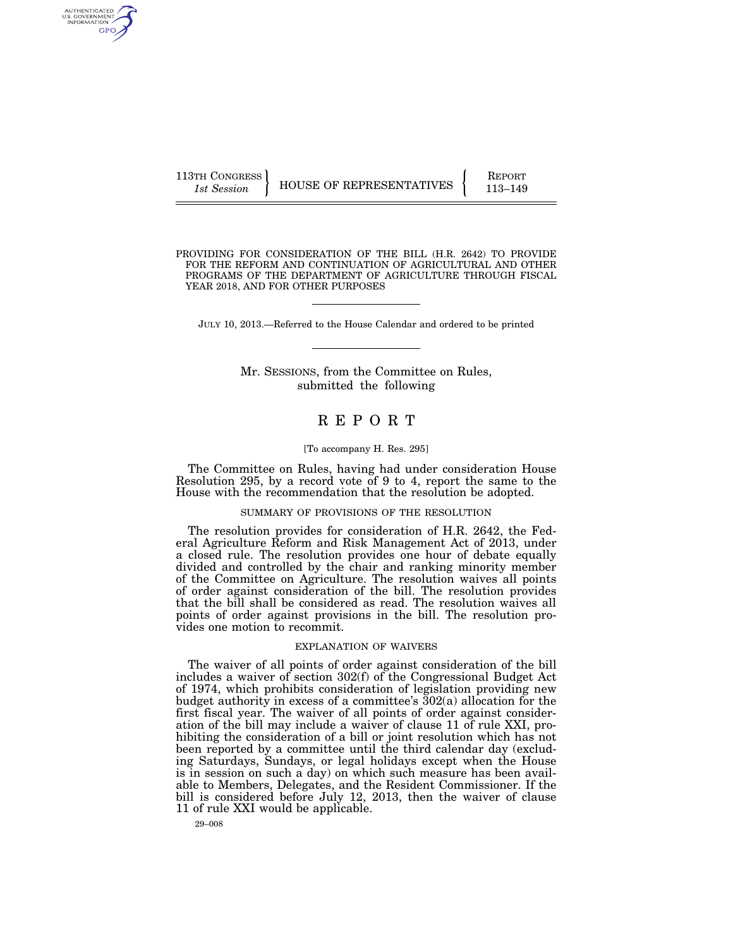| 113TH CONGRESS |                          | <b>REPORT</b> |
|----------------|--------------------------|---------------|
| 1st Session    | HOUSE OF REPRESENTATIVES | 113-149       |

PROVIDING FOR CONSIDERATION OF THE BILL (H.R. 2642) TO PROVIDE FOR THE REFORM AND CONTINUATION OF AGRICULTURAL AND OTHER PROGRAMS OF THE DEPARTMENT OF AGRICULTURE THROUGH FISCAL YEAR 2018, AND FOR OTHER PURPOSES

JULY 10, 2013.—Referred to the House Calendar and ordered to be printed

### Mr. SESSIONS, from the Committee on Rules, submitted the following

# R E P O R T

#### [To accompany H. Res. 295]

The Committee on Rules, having had under consideration House Resolution 295, by a record vote of 9 to 4, report the same to the House with the recommendation that the resolution be adopted.

#### SUMMARY OF PROVISIONS OF THE RESOLUTION

The resolution provides for consideration of H.R. 2642, the Federal Agriculture Reform and Risk Management Act of 2013, under a closed rule. The resolution provides one hour of debate equally divided and controlled by the chair and ranking minority member of the Committee on Agriculture. The resolution waives all points of order against consideration of the bill. The resolution provides that the bill shall be considered as read. The resolution waives all points of order against provisions in the bill. The resolution provides one motion to recommit.

#### EXPLANATION OF WAIVERS

The waiver of all points of order against consideration of the bill includes a waiver of section 302(f) of the Congressional Budget Act of 1974, which prohibits consideration of legislation providing new budget authority in excess of a committee's 302(a) allocation for the first fiscal year. The waiver of all points of order against consideration of the bill may include a waiver of clause 11 of rule XXI, prohibiting the consideration of a bill or joint resolution which has not been reported by a committee until the third calendar day (excluding Saturdays, Sundays, or legal holidays except when the House is in session on such a day) on which such measure has been available to Members, Delegates, and the Resident Commissioner. If the bill is considered before July 12, 2013, then the waiver of clause 11 of rule XXI would be applicable.

29–008

AUTHENTICATED<br>U.S. GOVERNMENT<br>INFORMATION GPO